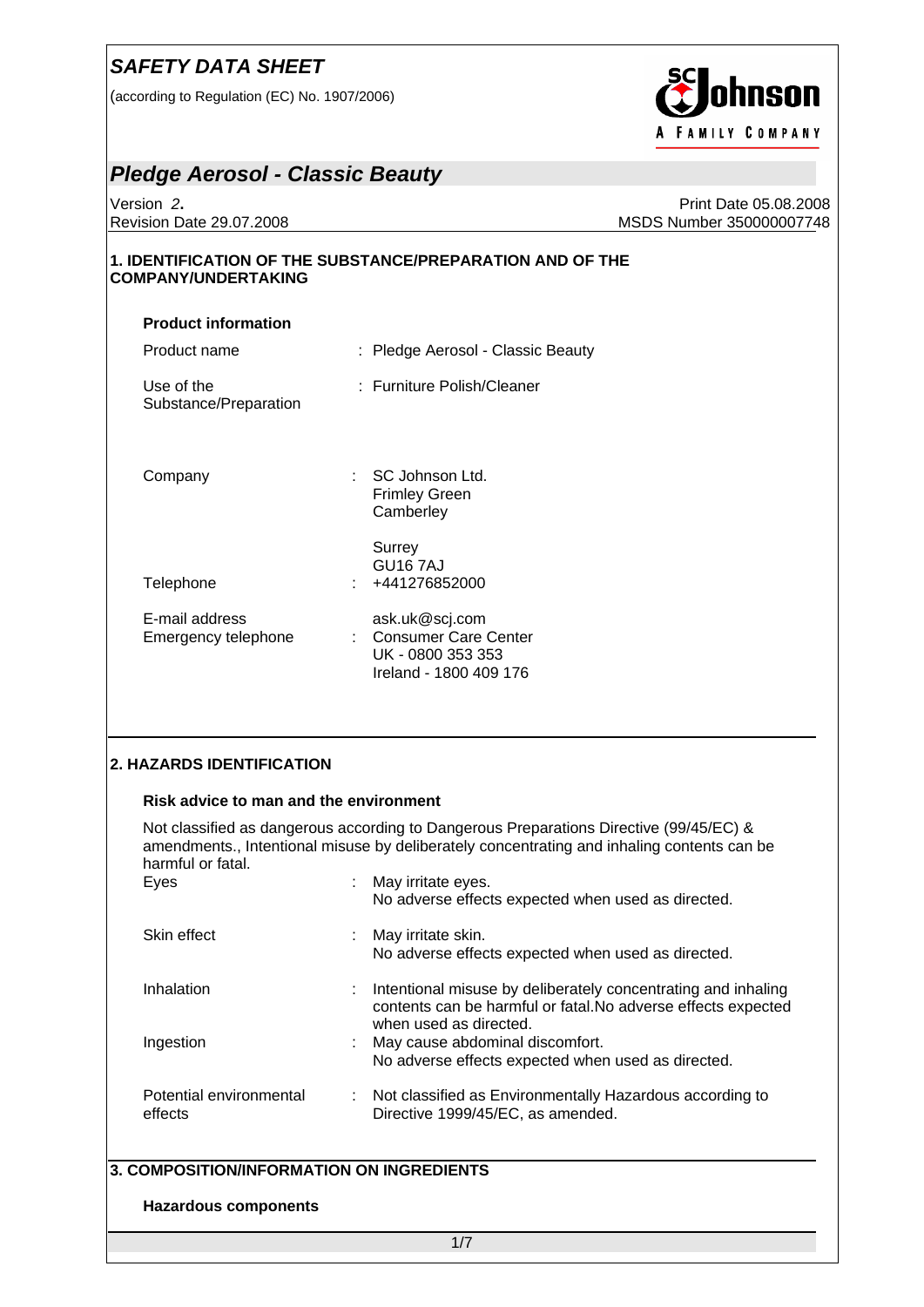(according to Regulation (EC) No. 1907/2006)



#### *Pledge Aerosol - Classic Beauty*

Version *2***.** Print Date 05.08.2008 Revision Date 29.07.2008 MSDS Number 350000007748

#### **1. IDENTIFICATION OF THE SUBSTANCE/PREPARATION AND OF THE COMPANY/UNDERTAKING**

| <b>Product information</b>            |                                                                                         |
|---------------------------------------|-----------------------------------------------------------------------------------------|
| Product name                          | : Pledge Aerosol - Classic Beauty                                                       |
| Use of the<br>Substance/Preparation   | : Furniture Polish/Cleaner                                                              |
| Company                               | $:$ SC Johnson Ltd.<br>Frimley Green<br>Camberley                                       |
| Telephone                             | Surrey<br>GU16 7AJ<br>: +441276852000                                                   |
| E-mail address<br>Emergency telephone | ask.uk@scj.com<br>: Consumer Care Center<br>UK - 0800 353 353<br>Ireland - 1800 409 176 |

#### **2. HAZARDS IDENTIFICATION**

#### **Risk advice to man and the environment**

Not classified as dangerous according to Dangerous Preparations Directive (99/45/EC) & amendments., Intentional misuse by deliberately concentrating and inhaling contents can be harmful or fatal.

| Eyes                               | : May irritate eyes.<br>No adverse effects expected when used as directed.                                                                                 |
|------------------------------------|------------------------------------------------------------------------------------------------------------------------------------------------------------|
| Skin effect                        | : May irritate skin.<br>No adverse effects expected when used as directed.                                                                                 |
| Inhalation                         | : Intentional misuse by deliberately concentrating and inhaling<br>contents can be harmful or fatal. No adverse effects expected<br>when used as directed. |
| Ingestion                          | : May cause abdominal discomfort.<br>No adverse effects expected when used as directed.                                                                    |
| Potential environmental<br>effects | : Not classified as Environmentally Hazardous according to<br>Directive 1999/45/EC, as amended.                                                            |

#### **3. COMPOSITION/INFORMATION ON INGREDIENTS**

#### **Hazardous components**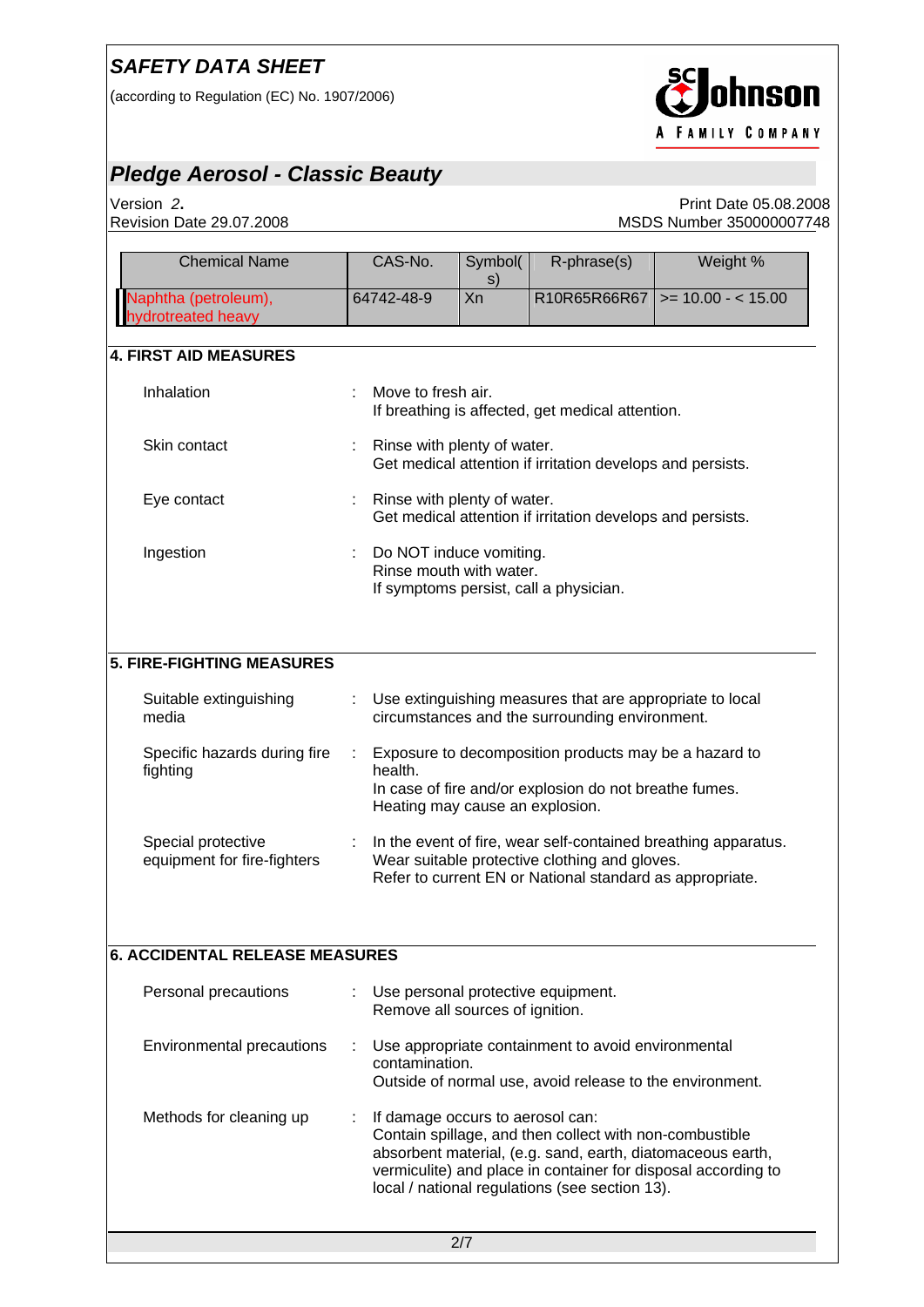(according to Regulation (EC) No. 1907/2006)



## *Pledge Aerosol - Classic Beauty*

Version *2***.** Print Date 05.08.2008 MSDS Number 350000007748

| <b>Chemical Name</b>                              | CAS-No.                                            | Symbol(<br>s) | R-phrase(s)                                                                                                                                                             | Weight %                                                       |  |  |
|---------------------------------------------------|----------------------------------------------------|---------------|-------------------------------------------------------------------------------------------------------------------------------------------------------------------------|----------------------------------------------------------------|--|--|
| Naphtha (petroleum),<br>drotreated heavy          | 64742-48-9                                         | Xn            | R10R65R66R67                                                                                                                                                            | $>= 10.00 - < 15.00$                                           |  |  |
| <b>4. FIRST AID MEASURES</b>                      |                                                    |               |                                                                                                                                                                         |                                                                |  |  |
| Inhalation                                        | Move to fresh air.                                 |               | If breathing is affected, get medical attention.                                                                                                                        |                                                                |  |  |
| Skin contact                                      | Rinse with plenty of water.                        |               | Get medical attention if irritation develops and persists.                                                                                                              |                                                                |  |  |
| Eye contact                                       | Rinse with plenty of water.                        |               | Get medical attention if irritation develops and persists.                                                                                                              |                                                                |  |  |
| Ingestion                                         | Do NOT induce vomiting.<br>Rinse mouth with water. |               | If symptoms persist, call a physician.                                                                                                                                  |                                                                |  |  |
| <b>5. FIRE-FIGHTING MEASURES</b>                  |                                                    |               |                                                                                                                                                                         |                                                                |  |  |
| Suitable extinguishing<br>media                   |                                                    |               | Use extinguishing measures that are appropriate to local<br>circumstances and the surrounding environment.                                                              |                                                                |  |  |
| Specific hazards during fire<br>fighting          | ÷.<br>health.<br>Heating may cause an explosion.   |               | Exposure to decomposition products may be a hazard to<br>In case of fire and/or explosion do not breathe fumes.                                                         |                                                                |  |  |
| Special protective<br>equipment for fire-fighters |                                                    |               | Wear suitable protective clothing and gloves.<br>Refer to current EN or National standard as appropriate.                                                               | In the event of fire, wear self-contained breathing apparatus. |  |  |
| <b>6. ACCIDENTAL RELEASE MEASURES</b>             |                                                    |               |                                                                                                                                                                         |                                                                |  |  |
| Personal precautions                              | Remove all sources of ignition.                    |               | Use personal protective equipment.                                                                                                                                      |                                                                |  |  |
| Environmental precautions                         | contamination.                                     |               | Use appropriate containment to avoid environmental<br>Outside of normal use, avoid release to the environment.                                                          |                                                                |  |  |
| Methods for cleaning up                           | If damage occurs to aerosol can:                   |               | Contain spillage, and then collect with non-combustible<br>absorbent material, (e.g. sand, earth, diatomaceous earth,<br>local / national regulations (see section 13). | vermiculite) and place in container for disposal according to  |  |  |
|                                                   |                                                    | 2/7           |                                                                                                                                                                         |                                                                |  |  |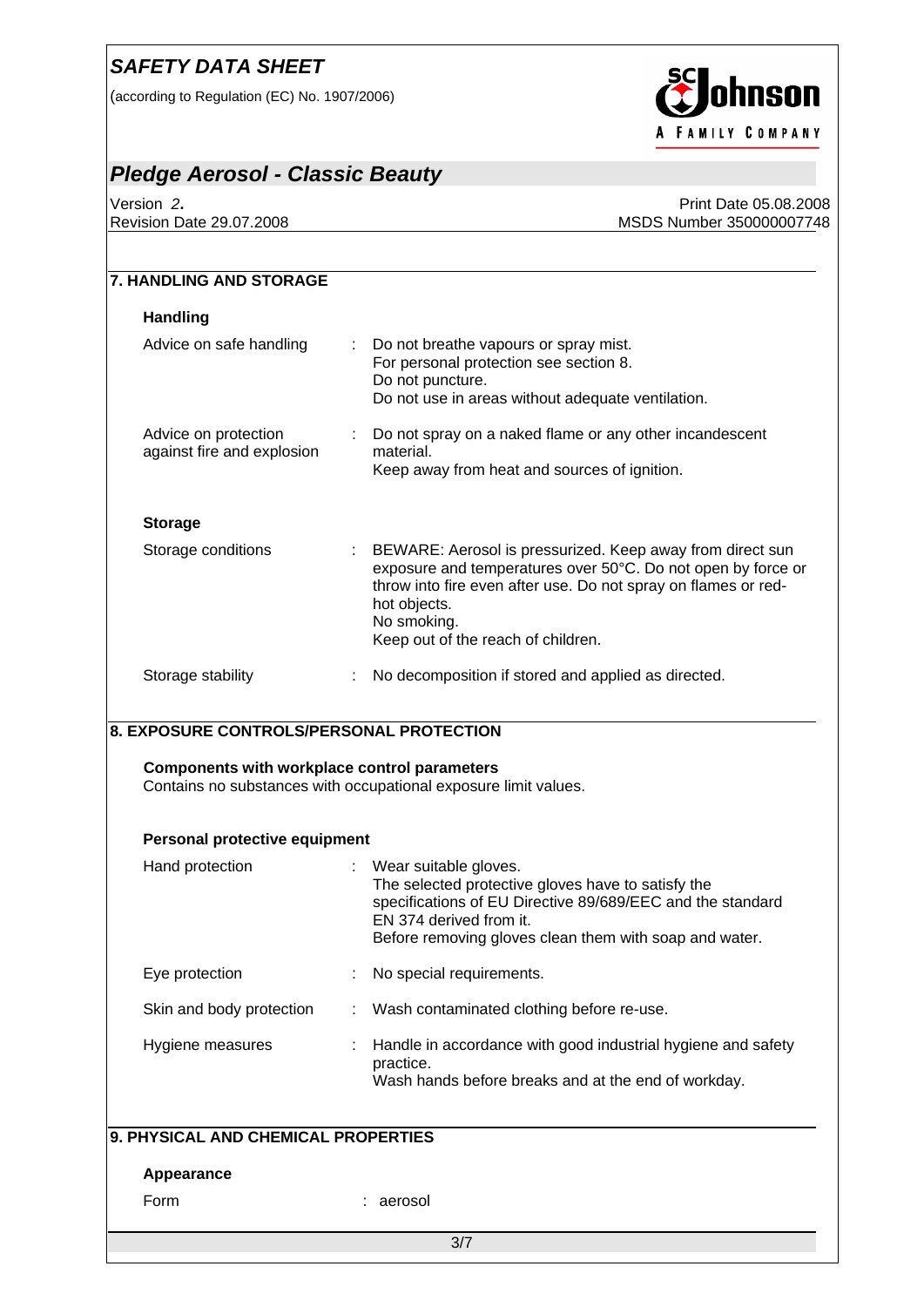(according to Regulation (EC) No. 1907/2006)



## *Pledge Aerosol - Classic Beauty*

Version *2***.** Print Date 05.08.2008 MSDS Number 350000007748

| <b>Handling</b>                                                                                 |                                                                                                                                                                                                                                                                  |
|-------------------------------------------------------------------------------------------------|------------------------------------------------------------------------------------------------------------------------------------------------------------------------------------------------------------------------------------------------------------------|
| Advice on safe handling                                                                         | Do not breathe vapours or spray mist.<br>For personal protection see section 8.<br>Do not puncture.                                                                                                                                                              |
|                                                                                                 | Do not use in areas without adequate ventilation.                                                                                                                                                                                                                |
| Advice on protection<br>against fire and explosion                                              | Do not spray on a naked flame or any other incandescent<br>material.                                                                                                                                                                                             |
|                                                                                                 | Keep away from heat and sources of ignition.                                                                                                                                                                                                                     |
| <b>Storage</b>                                                                                  |                                                                                                                                                                                                                                                                  |
| Storage conditions                                                                              | BEWARE: Aerosol is pressurized. Keep away from direct sun<br>exposure and temperatures over 50°C. Do not open by force or<br>throw into fire even after use. Do not spray on flames or red-<br>hot objects.<br>No smoking.<br>Keep out of the reach of children. |
| Storage stability                                                                               | No decomposition if stored and applied as directed.                                                                                                                                                                                                              |
| 8. EXPOSURE CONTROLS/PERSONAL PROTECTION<br><b>Components with workplace control parameters</b> | Contains no substances with occupational exposure limit values.                                                                                                                                                                                                  |
|                                                                                                 |                                                                                                                                                                                                                                                                  |
| Personal protective equipment                                                                   |                                                                                                                                                                                                                                                                  |
| Hand protection                                                                                 | Wear suitable gloves.<br>The selected protective gloves have to satisfy the<br>specifications of EU Directive 89/689/EEC and the standard<br>EN 374 derived from it.<br>Before removing gloves clean them with soap and water.                                   |
| Eye protection                                                                                  | No special requirements.                                                                                                                                                                                                                                         |
| Skin and body protection                                                                        | Wash contaminated clothing before re-use.                                                                                                                                                                                                                        |
| Hygiene measures                                                                                | Handle in accordance with good industrial hygiene and safety<br>practice.                                                                                                                                                                                        |
|                                                                                                 | Wash hands before breaks and at the end of workday.                                                                                                                                                                                                              |
| 9. PHYSICAL AND CHEMICAL PROPERTIES                                                             |                                                                                                                                                                                                                                                                  |
| Appearance                                                                                      |                                                                                                                                                                                                                                                                  |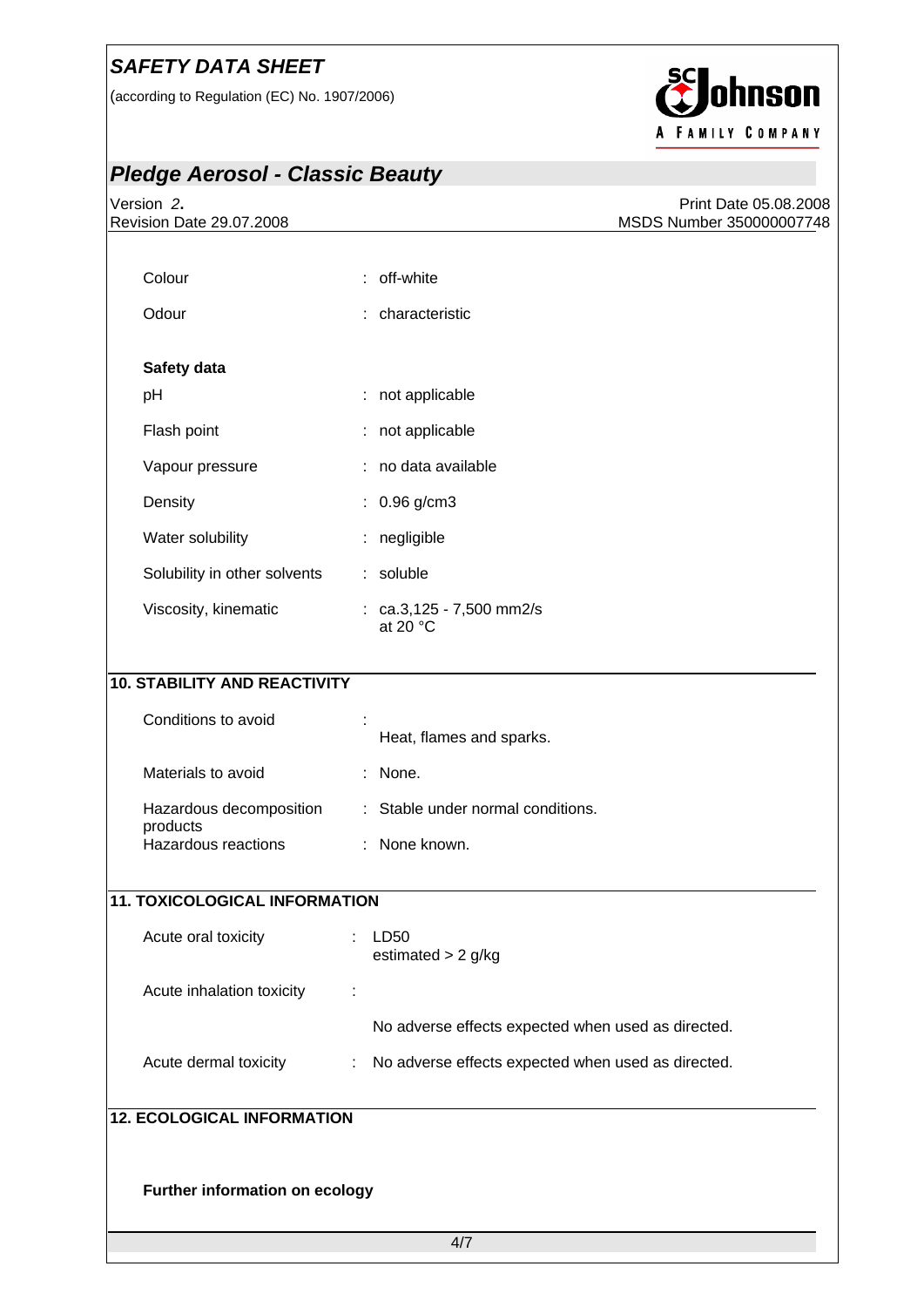(according to Regulation (EC) No. 1907/2006)



# *Pledge Aerosol - Classic Beauty*

| Version 2.<br>Revision Date 29.07.2008 | Print Date 05.08.2008<br>MSDS Number 350000007748       |
|----------------------------------------|---------------------------------------------------------|
|                                        |                                                         |
| Colour                                 | : off-white                                             |
| Odour                                  | : characteristic                                        |
| Safety data                            |                                                         |
| pH                                     | : not applicable                                        |
| Flash point                            | not applicable                                          |
| Vapour pressure                        | : no data available                                     |
| Density                                | $: 0.96$ g/cm3                                          |
| Water solubility                       | negligible                                              |
| Solubility in other solvents           | : soluble                                               |
| Viscosity, kinematic                   | : $ca.3,125 - 7,500$ mm2/s<br>at 20 $\degree$ C         |
| <b>10. STABILITY AND REACTIVITY</b>    |                                                         |
| Conditions to avoid                    |                                                         |
|                                        | Heat, flames and sparks.                                |
| Materials to avoid                     | : None.                                                 |
| Hazardous decomposition                | : Stable under normal conditions.                       |
| products<br>Hazardous reactions        | : None known.                                           |
| <b>11. TOXICOLOGICAL INFORMATION</b>   |                                                         |
|                                        |                                                         |
| Acute oral toxicity                    | LD50<br>estimated $> 2$ g/kg                            |
| Acute inhalation toxicity              |                                                         |
|                                        | No adverse effects expected when used as directed.      |
| Acute dermal toxicity                  | No adverse effects expected when used as directed.<br>t |
| <b>12. ECOLOGICAL INFORMATION</b>      |                                                         |
|                                        |                                                         |
| Further information on ecology         |                                                         |
|                                        | 4/7                                                     |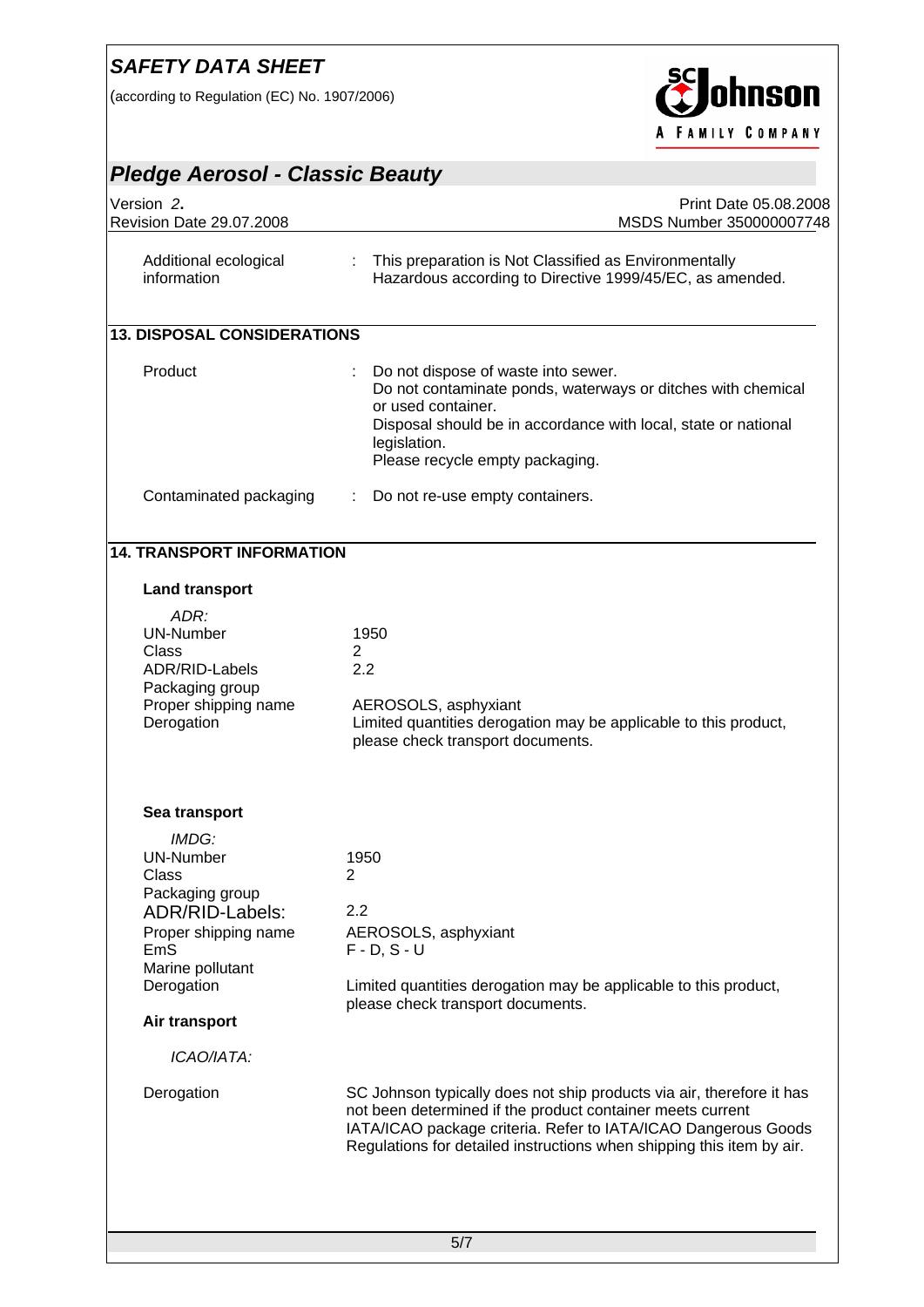(according to Regulation (EC) No. 1907/2006)



| Version 2.<br>Revision Date 29.07.2008                                                                                             | Print Date 05.08.2008<br>MSDS Number 350000007748                                                                                                                                                                                                                              |  |  |
|------------------------------------------------------------------------------------------------------------------------------------|--------------------------------------------------------------------------------------------------------------------------------------------------------------------------------------------------------------------------------------------------------------------------------|--|--|
| Additional ecological<br>information                                                                                               | This preparation is Not Classified as Environmentally<br>÷<br>Hazardous according to Directive 1999/45/EC, as amended.                                                                                                                                                         |  |  |
| <b>13. DISPOSAL CONSIDERATIONS</b>                                                                                                 |                                                                                                                                                                                                                                                                                |  |  |
| Product                                                                                                                            | Do not dispose of waste into sewer.<br>Do not contaminate ponds, waterways or ditches with chemical<br>or used container.<br>Disposal should be in accordance with local, state or national<br>legislation.<br>Please recycle empty packaging.                                 |  |  |
| Contaminated packaging                                                                                                             | Do not re-use empty containers.                                                                                                                                                                                                                                                |  |  |
| <b>14. TRANSPORT INFORMATION</b>                                                                                                   |                                                                                                                                                                                                                                                                                |  |  |
| <b>Land transport</b>                                                                                                              |                                                                                                                                                                                                                                                                                |  |  |
| ADR:<br><b>UN-Number</b><br>Class<br>ADR/RID-Labels<br>Packaging group<br>Proper shipping name<br>Derogation                       | 1950<br>$\mathbf{2}^{\prime}$<br>2.2<br>AEROSOLS, asphyxiant<br>Limited quantities derogation may be applicable to this product,<br>please check transport documents.                                                                                                          |  |  |
| Sea transport                                                                                                                      |                                                                                                                                                                                                                                                                                |  |  |
| IMDG:<br>UN-Number<br>Class<br>Packaging group<br>ADR/RID-Labels:<br>Proper shipping name<br>EmS<br>Marine pollutant<br>Derogation | 1950<br>2<br>2.2<br>AEROSOLS, asphyxiant<br>$F - D$ , $S - U$<br>Limited quantities derogation may be applicable to this product,<br>please check transport documents.                                                                                                         |  |  |
| Air transport                                                                                                                      |                                                                                                                                                                                                                                                                                |  |  |
| ICAO/IATA:                                                                                                                         |                                                                                                                                                                                                                                                                                |  |  |
| Derogation                                                                                                                         | SC Johnson typically does not ship products via air, therefore it has<br>not been determined if the product container meets current<br>IATA/ICAO package criteria. Refer to IATA/ICAO Dangerous Goods<br>Regulations for detailed instructions when shipping this item by air. |  |  |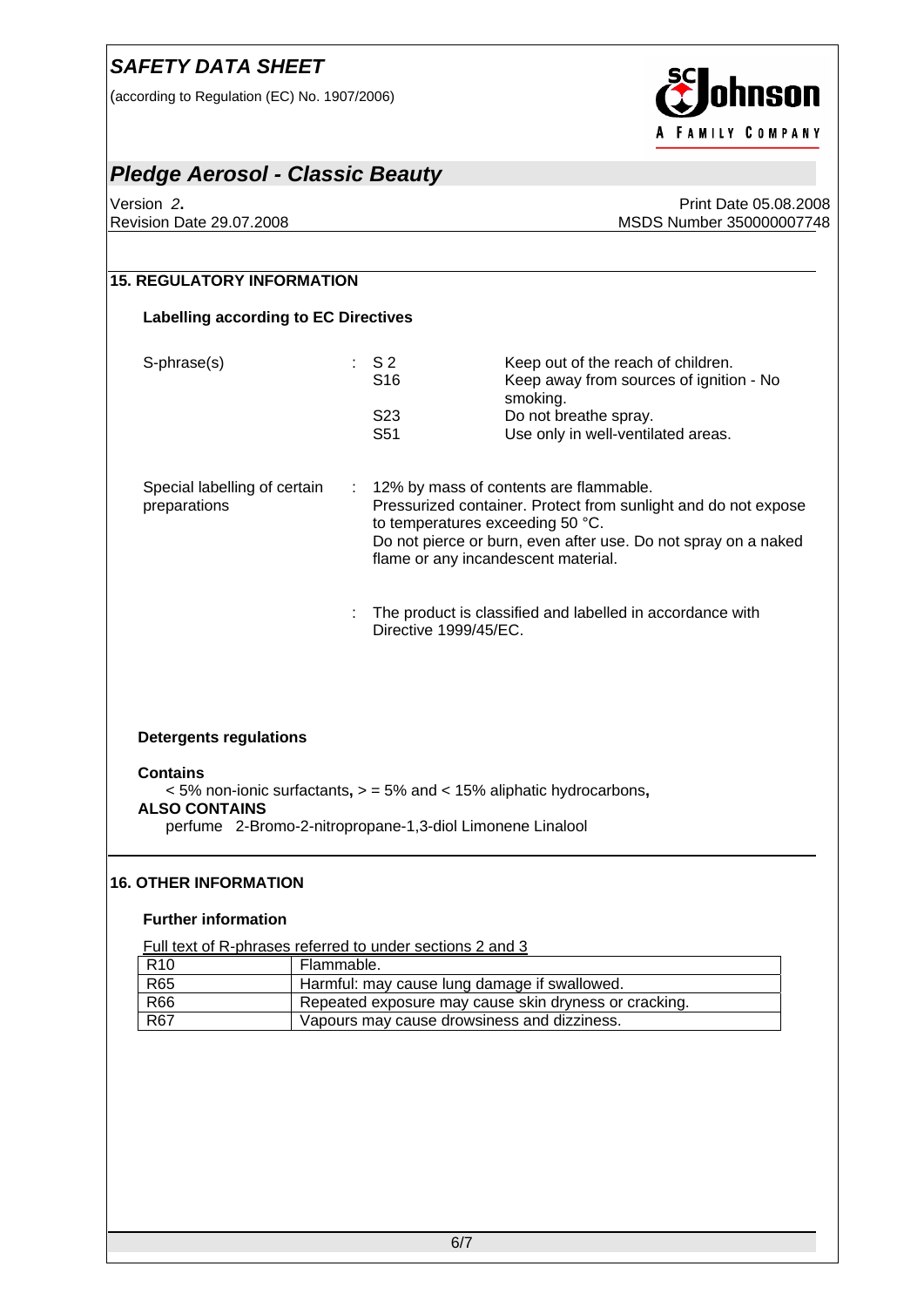(according to Regulation (EC) No. 1907/2006)



#### *Pledge Aerosol - Classic Beauty*

Version *2***.** Print Date 05.08.2008 Revision Date 29.07.2008 MSDS Number 350000007748

## **15. REGULATORY INFORMATION Labelling according to EC Directives**  S-phrase(s) : S 2 Keep out of the reach of children. S16 Keep away from sources of ignition - No smoking. S23 Do not breathe spray.<br>S51 Use only in well-ventila Use only in well-ventilated areas. Special labelling of certain preparations : 12% by mass of contents are flammable. Pressurized container. Protect from sunlight and do not expose to temperatures exceeding 50 °C. Do not pierce or burn, even after use. Do not spray on a naked flame or any incandescent material. : The product is classified and labelled in accordance with Directive 1999/45/EC. **Detergents regulations Contains**  < 5% non-ionic surfactants**,** > = 5% and < 15% aliphatic hydrocarbons**, ALSO CONTAINS**  perfume2-Bromo-2-nitropropane-1,3-diol Limonene Linalool

#### **16. OTHER INFORMATION**

#### **Further information**

Full text of R-phrases referred to under sections 2 and 3

| R <sub>10</sub> | Flammable.                                            |
|-----------------|-------------------------------------------------------|
| <b>R65</b>      | Harmful: may cause lung damage if swallowed.          |
| <b>R66</b>      | Repeated exposure may cause skin dryness or cracking. |
| <b>R67</b>      | Vapours may cause drowsiness and dizziness.           |